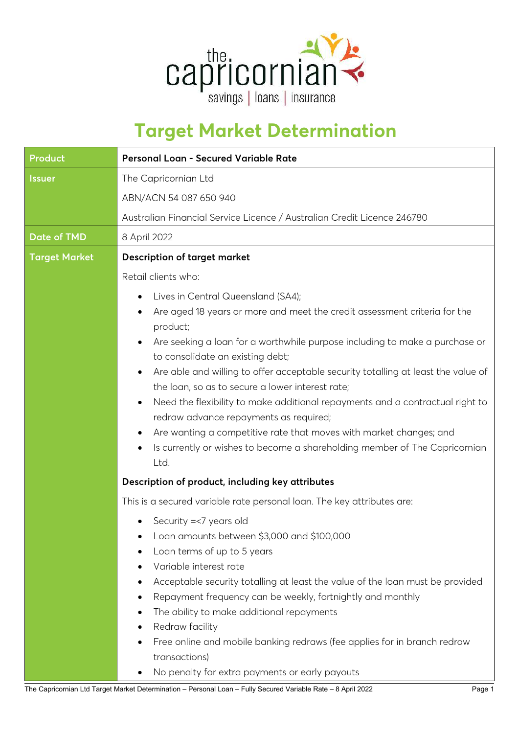

## **Target Market Determination**

| <b>Product</b>       | Personal Loan - Secured Variable Rate                                                                                                |  |  |
|----------------------|--------------------------------------------------------------------------------------------------------------------------------------|--|--|
| <b>Issuer</b>        | The Capricornian Ltd                                                                                                                 |  |  |
|                      | ABN/ACN 54 087 650 940                                                                                                               |  |  |
|                      | Australian Financial Service Licence / Australian Credit Licence 246780                                                              |  |  |
| <b>Date of TMD</b>   | 8 April 2022                                                                                                                         |  |  |
| <b>Target Market</b> | <b>Description of target market</b>                                                                                                  |  |  |
|                      | Retail clients who:                                                                                                                  |  |  |
|                      | Lives in Central Queensland (SA4);<br>٠                                                                                              |  |  |
|                      | Are aged 18 years or more and meet the credit assessment criteria for the                                                            |  |  |
|                      | product;<br>Are seeking a loan for a worthwhile purpose including to make a purchase or<br>$\bullet$                                 |  |  |
|                      | to consolidate an existing debt;                                                                                                     |  |  |
|                      | Are able and willing to offer acceptable security totalling at least the value of<br>٠                                               |  |  |
|                      | the loan, so as to secure a lower interest rate;                                                                                     |  |  |
|                      | Need the flexibility to make additional repayments and a contractual right to<br>$\bullet$<br>redraw advance repayments as required; |  |  |
|                      | Are wanting a competitive rate that moves with market changes; and<br>٠                                                              |  |  |
|                      | Is currently or wishes to become a shareholding member of The Capricornian                                                           |  |  |
|                      | Ltd.                                                                                                                                 |  |  |
|                      | Description of product, including key attributes                                                                                     |  |  |
|                      | This is a secured variable rate personal loan. The key attributes are:                                                               |  |  |
|                      | Security =<7 years old                                                                                                               |  |  |
|                      | Loan amounts between \$3,000 and \$100,000                                                                                           |  |  |
|                      | Loan terms of up to 5 years                                                                                                          |  |  |
|                      | Variable interest rate                                                                                                               |  |  |
|                      | Acceptable security totalling at least the value of the loan must be provided<br>٠                                                   |  |  |
|                      | Repayment frequency can be weekly, fortnightly and monthly<br>$\bullet$                                                              |  |  |
|                      | The ability to make additional repayments<br>٠<br>Redraw facility<br>٠                                                               |  |  |
|                      | Free online and mobile banking redraws (fee applies for in branch redraw                                                             |  |  |
|                      | transactions)                                                                                                                        |  |  |
|                      | No penalty for extra payments or early payouts<br>$\bullet$                                                                          |  |  |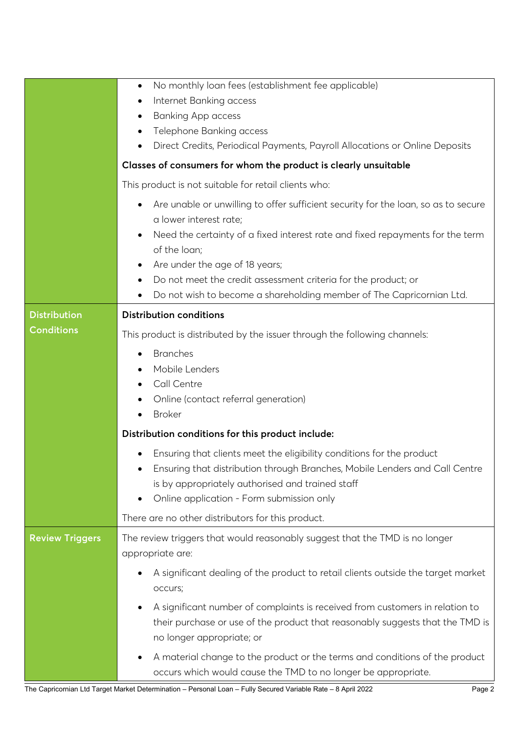|                        | No monthly loan fees (establishment fee applicable)<br>٠<br>Internet Banking access<br>٠<br><b>Banking App access</b><br>٠<br>Telephone Banking access<br>٠<br>Direct Credits, Periodical Payments, Payroll Allocations or Online Deposits                      |  |  |  |
|------------------------|-----------------------------------------------------------------------------------------------------------------------------------------------------------------------------------------------------------------------------------------------------------------|--|--|--|
|                        | Classes of consumers for whom the product is clearly unsuitable                                                                                                                                                                                                 |  |  |  |
|                        | This product is not suitable for retail clients who:                                                                                                                                                                                                            |  |  |  |
|                        | Are unable or unwilling to offer sufficient security for the loan, so as to secure<br>٠<br>a lower interest rate;                                                                                                                                               |  |  |  |
|                        | Need the certainty of a fixed interest rate and fixed repayments for the term<br>of the loan;                                                                                                                                                                   |  |  |  |
|                        | Are under the age of 18 years;<br>٠<br>Do not meet the credit assessment criteria for the product; or<br>٠                                                                                                                                                      |  |  |  |
|                        | Do not wish to become a shareholding member of The Capricornian Ltd.<br>٠                                                                                                                                                                                       |  |  |  |
| <b>Distribution</b>    | <b>Distribution conditions</b>                                                                                                                                                                                                                                  |  |  |  |
| <b>Conditions</b>      | This product is distributed by the issuer through the following channels:                                                                                                                                                                                       |  |  |  |
|                        | <b>Branches</b><br>Mobile Lenders<br>Call Centre<br>Online (contact referral generation)<br><b>Broker</b>                                                                                                                                                       |  |  |  |
|                        | Distribution conditions for this product include:                                                                                                                                                                                                               |  |  |  |
|                        | Ensuring that clients meet the eligibility conditions for the product<br>٠<br>Ensuring that distribution through Branches, Mobile Lenders and Call Centre<br>is by appropriately authorised and trained staff<br>Online application - Form submission only<br>٠ |  |  |  |
|                        | There are no other distributors for this product.                                                                                                                                                                                                               |  |  |  |
| <b>Review Triggers</b> | The review triggers that would reasonably suggest that the TMD is no longer<br>appropriate are:                                                                                                                                                                 |  |  |  |
|                        | A significant dealing of the product to retail clients outside the target market<br>٠<br>occurs;                                                                                                                                                                |  |  |  |
|                        | A significant number of complaints is received from customers in relation to<br>$\bullet$<br>their purchase or use of the product that reasonably suggests that the TMD is<br>no longer appropriate; or                                                         |  |  |  |
|                        | A material change to the product or the terms and conditions of the product<br>٠<br>occurs which would cause the TMD to no longer be appropriate.                                                                                                               |  |  |  |